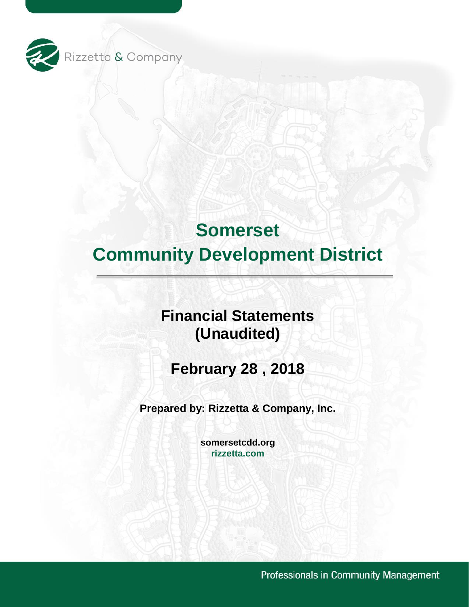

# **Financial Statements (Unaudited)**

**February 28 , 2018** 

**Prepared by: Rizzetta & Company, Inc.** 

**[somersetcdd.org](https://somersetcdd.org) [rizzetta.com](https://rizzetta.com)** 

Professionals in Community Management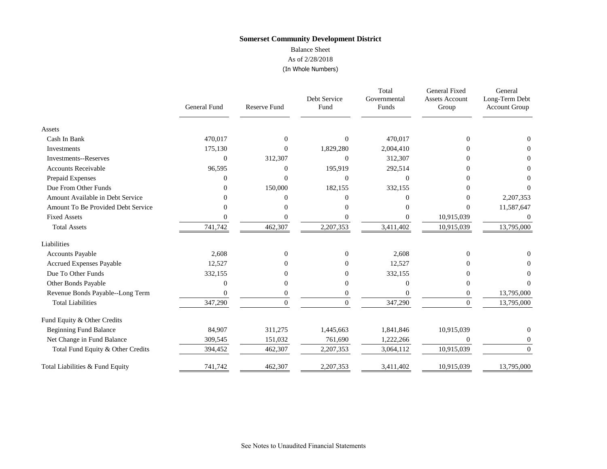#### As of 2/28/2018 Balance Sheet

# (In Whole Numbers)

| Whole Numbers) |  |
|----------------|--|
|                |  |

|                                    | <b>General Fund</b> | Reserve Fund | Debt Service<br>Fund | Total<br>Governmental<br>Funds | General Fixed<br><b>Assets Account</b><br>Group | General<br>Long-Term Debt<br><b>Account Group</b> |
|------------------------------------|---------------------|--------------|----------------------|--------------------------------|-------------------------------------------------|---------------------------------------------------|
| Assets                             |                     |              |                      |                                |                                                 |                                                   |
| Cash In Bank                       | 470,017             | $\Omega$     | $\Omega$             | 470,017                        | $\Omega$                                        | $\Omega$                                          |
| Investments                        | 175,130             | 0            | 1,829,280            | 2,004,410                      | $\Omega$                                        |                                                   |
| <b>Investments--Reserves</b>       | 0                   | 312,307      | $\mathbf{0}$         | 312,307                        | 0                                               | $\theta$                                          |
| <b>Accounts Receivable</b>         | 96,595              | 0            | 195,919              | 292,514                        | 0                                               | 0                                                 |
| Prepaid Expenses                   | 0                   | 0            | $\Omega$             | $\Omega$                       | O                                               |                                                   |
| Due From Other Funds               | 0                   | 150,000      | 182,155              | 332,155                        | 0                                               |                                                   |
| Amount Available in Debt Service   | O                   | 0            | $\Omega$             | $\Omega$                       | $\Omega$                                        | 2,207,353                                         |
| Amount To Be Provided Debt Service |                     | ∩            | 0                    |                                | $\Omega$                                        | 11,587,647                                        |
| <b>Fixed Assets</b>                |                     |              | $\Omega$             |                                | 10,915,039                                      | $\theta$                                          |
| <b>Total Assets</b>                | 741,742             | 462,307      | 2,207,353            | 3,411,402                      | 10,915,039                                      | 13,795,000                                        |
| Liabilities                        |                     |              |                      |                                |                                                 |                                                   |
| <b>Accounts Payable</b>            | 2,608               | 0            | $\Omega$             | 2,608                          | $\Omega$                                        | $\Omega$                                          |
| <b>Accrued Expenses Payable</b>    | 12,527              | 0            | $\Omega$             | 12,527                         | 0                                               |                                                   |
| Due To Other Funds                 | 332,155             |              | $\Omega$             | 332,155                        |                                                 |                                                   |
| Other Bonds Payable                | 0                   | 0            | $\mathbf{0}$         | $\Omega$                       | 0                                               |                                                   |
| Revenue Bonds Payable--Long Term   | 0                   | 0            | $\mathbf{0}$         | $\Omega$                       | $\boldsymbol{0}$                                | 13,795,000                                        |
| <b>Total Liabilities</b>           | 347,290             | $\Omega$     | $\theta$             | 347,290                        | $\Omega$                                        | 13,795,000                                        |
| Fund Equity & Other Credits        |                     |              |                      |                                |                                                 |                                                   |
| <b>Beginning Fund Balance</b>      | 84,907              | 311,275      | 1,445,663            | 1,841,846                      | 10,915,039                                      | $\theta$                                          |
| Net Change in Fund Balance         | 309,545             | 151,032      | 761,690              | 1,222,266                      | $\overline{0}$                                  | $\bf{0}$                                          |
| Total Fund Equity & Other Credits  | 394,452             | 462,307      | 2,207,353            | 3,064,112                      | 10,915,039                                      | $\Omega$                                          |
| Total Liabilities & Fund Equity    | 741,742             | 462,307      | 2,207,353            | 3,411,402                      | 10,915,039                                      | 13,795,000                                        |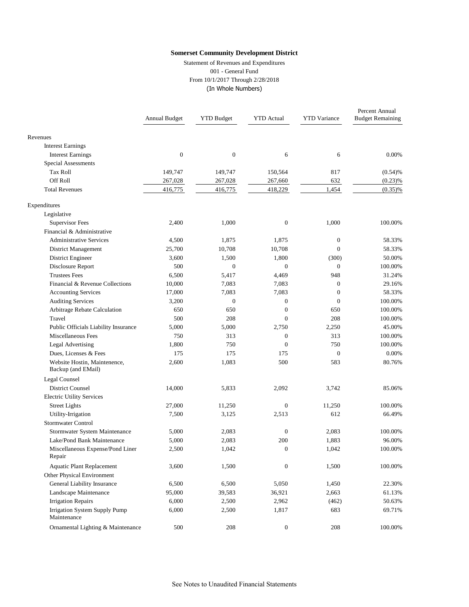Statement of Revenues and Expenditures 001 - General Fund From 10/1/2017 Through 2/28/2018 (In Whole Numbers)

|                                                    | Annual Budget    | <b>YTD Budget</b> | <b>YTD</b> Actual | <b>YTD</b> Variance | Percent Annual<br><b>Budget Remaining</b> |
|----------------------------------------------------|------------------|-------------------|-------------------|---------------------|-------------------------------------------|
| Revenues                                           |                  |                   |                   |                     |                                           |
| <b>Interest Earnings</b>                           |                  |                   |                   |                     |                                           |
| <b>Interest Earnings</b>                           | $\boldsymbol{0}$ | $\boldsymbol{0}$  | 6                 | 6                   | 0.00%                                     |
| <b>Special Assessments</b>                         |                  |                   |                   |                     |                                           |
| Tax Roll                                           | 149,747          | 149,747           | 150,564           | 817                 | (0.54)%                                   |
| Off Roll                                           | 267,028          | 267,028           | 267,660           | 632                 | (0.23)%                                   |
| <b>Total Revenues</b>                              | 416,775          | 416,775           | 418,229           | 1,454               | $(0.35)\%$                                |
| Expenditures                                       |                  |                   |                   |                     |                                           |
| Legislative                                        |                  |                   |                   |                     |                                           |
| <b>Supervisor Fees</b>                             | 2,400            | 1,000             | $\boldsymbol{0}$  | 1,000               | 100.00%                                   |
| Financial & Administrative                         |                  |                   |                   |                     |                                           |
| <b>Administrative Services</b>                     | 4,500            | 1,875             | 1,875             | $\mathbf{0}$        | 58.33%                                    |
| District Management                                | 25,700           | 10,708            | 10,708            | $\mathbf{0}$        | 58.33%                                    |
| District Engineer                                  | 3,600            | 1,500             | 1,800             | (300)               | 50.00%                                    |
| Disclosure Report                                  | 500              | $\mathbf{0}$      | $\boldsymbol{0}$  | $\mathbf{0}$        | 100.00%                                   |
| <b>Trustees Fees</b>                               | 6,500            | 5,417             | 4,469             | 948                 | 31.24%                                    |
| Financial & Revenue Collections                    | 10,000           | 7,083             | 7,083             | $\mathbf{0}$        | 29.16%                                    |
| <b>Accounting Services</b>                         | 17,000           | 7,083             | 7,083             | $\mathbf{0}$        | 58.33%                                    |
| <b>Auditing Services</b>                           | 3,200            | $\boldsymbol{0}$  | $\boldsymbol{0}$  | $\mathbf{0}$        | 100.00%                                   |
| Arbitrage Rebate Calculation                       | 650              | 650               | $\boldsymbol{0}$  | 650                 | 100.00%                                   |
| Travel                                             | 500              | 208               | $\overline{0}$    | 208                 | 100.00%                                   |
| Public Officials Liability Insurance               | 5,000            | 5,000             | 2,750             | 2,250               | 45.00%                                    |
| Miscellaneous Fees                                 | 750              | 313               | $\boldsymbol{0}$  | 313                 | 100.00%                                   |
| <b>Legal Advertising</b>                           | 1,800            | 750               | $\overline{0}$    | 750                 | 100.00%                                   |
| Dues, Licenses & Fees                              | 175              | 175               | 175               | $\mathbf{0}$        | 0.00%                                     |
| Website Hostin, Maintenence,<br>Backup (and EMail) | 2,600            | 1,083             | 500               | 583                 | 80.76%                                    |
| Legal Counsel                                      |                  |                   |                   |                     |                                           |
| <b>District Counsel</b>                            | 14,000           | 5,833             | 2,092             | 3,742               | 85.06%                                    |
| <b>Electric Utility Services</b>                   |                  |                   |                   |                     |                                           |
| <b>Street Lights</b>                               | 27,000           | 11,250            | $\boldsymbol{0}$  | 11,250              | 100.00%                                   |
| Utility-Irrigation                                 | 7,500            | 3,125             | 2,513             | 612                 | 66.49%                                    |
| Stormwater Control                                 |                  |                   |                   |                     |                                           |
| Stormwater System Maintenance                      | 5,000            | 2,083             | $\boldsymbol{0}$  | 2,083               | 100.00%                                   |
| Lake/Pond Bank Maintenance                         | 5,000            | 2,083             | 200               | 1,883               | 96.00%                                    |
| Miscellaneous Expense/Pond Liner<br>Repair         | 2,500            | 1,042             | $\overline{0}$    | 1,042               | 100.00%                                   |
| <b>Aquatic Plant Replacement</b>                   | 3,600            | 1,500             | $\boldsymbol{0}$  | 1,500               | 100.00%                                   |
| Other Physical Environment                         |                  |                   |                   |                     |                                           |
| General Liability Insurance                        | 6,500            | 6,500             | 5,050             | 1,450               | 22.30%                                    |
| Landscape Maintenance                              | 95,000           | 39,583            | 36,921            | 2,663               | 61.13%                                    |
| <b>Irrigation Repairs</b>                          | 6,000            | 2,500             | 2,962             | (462)               | 50.63%                                    |
| Irrigation System Supply Pump<br>Maintenance       | 6,000            | 2,500             | 1,817             | 683                 | 69.71%                                    |
| Ornamental Lighting & Maintenance                  | 500              | 208               | $\boldsymbol{0}$  | 208                 | 100.00%                                   |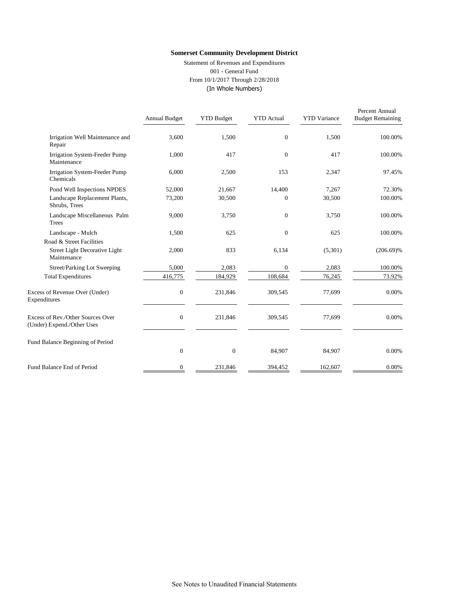Statement of Revenues and Expenditures 001 - General Fund From 10/1/2017 Through 2/28/2018 (In Whole Numbers)

|                                                                 | Annual Budget | <b>YTD Budget</b> | <b>YTD</b> Actual | <b>YTD</b> Variance | Percent Annual<br><b>Budget Remaining</b> |
|-----------------------------------------------------------------|---------------|-------------------|-------------------|---------------------|-------------------------------------------|
| Irrigation Well Maintenance and<br>Repair                       | 3,600         | 1,500             | $\overline{0}$    | 1,500               | 100.00%                                   |
| Irrigation System-Feeder Pump<br>Maintenance                    | 1,000         | 417               | $\overline{0}$    | 417                 | 100.00%                                   |
| Irrigation System-Feeder Pump<br>Chemicals                      | 6,000         | 2,500             | 153               | 2,347               | 97.45%                                    |
| Pond Well Inspections NPDES                                     | 52,000        | 21,667            | 14,400            | 7,267               | 72.30%                                    |
| Landscape Replacement Plants,<br>Shrubs, Trees                  | 73,200        | 30,500            | $\Omega$          | 30,500              | 100.00%                                   |
| Landscape Miscellaneous Palm<br>Trees                           | 9,000         | 3,750             | $\overline{0}$    | 3,750               | 100.00%                                   |
| Landscape - Mulch                                               | 1,500         | 625               | $\overline{0}$    | 625                 | 100.00%                                   |
| Road & Street Facilities                                        |               |                   |                   |                     |                                           |
| Street Light Decorative Light<br>Maintenance                    | 2,000         | 833               | 6,134             | (5,301)             | $(206.69)\%$                              |
| Street/Parking Lot Sweeping                                     | 5,000         | 2,083             | $\mathbf{0}$      | 2,083               | 100.00%                                   |
| <b>Total Expenditures</b>                                       | 416,775       | 184,929           | 108,684           | 76,245              | 73.92%                                    |
| Excess of Revenue Over (Under)<br>Expenditures                  | $\mathbf{0}$  | 231,846           | 309,545           | 77,699              | 0.00%                                     |
| Excess of Rev./Other Sources Over<br>(Under) Expend./Other Uses | $\mathbf{0}$  | 231,846           | 309,545           | 77,699              | 0.00%                                     |
| Fund Balance Beginning of Period                                |               |                   |                   |                     |                                           |
|                                                                 | $\mathbf{0}$  | $\boldsymbol{0}$  | 84,907            | 84,907              | 0.00%                                     |
| Fund Balance End of Period                                      | $\mathbf{0}$  | 231,846           | 394,452           | 162,607             | 0.00%                                     |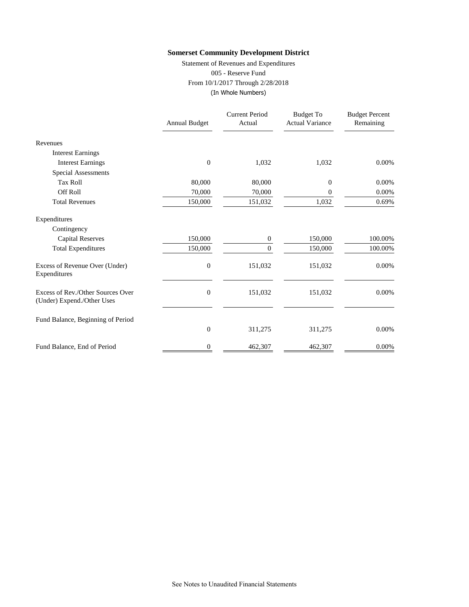Statement of Revenues and Expenditures 005 - Reserve Fund From 10/1/2017 Through 2/28/2018 (In Whole Numbers)

|                                                                 | <b>Annual Budget</b> | <b>Current Period</b><br>Actual | <b>Budget To</b><br><b>Actual Variance</b> | <b>Budget Percent</b><br>Remaining |
|-----------------------------------------------------------------|----------------------|---------------------------------|--------------------------------------------|------------------------------------|
| Revenues                                                        |                      |                                 |                                            |                                    |
| <b>Interest Earnings</b>                                        |                      |                                 |                                            |                                    |
| <b>Interest Earnings</b>                                        | $\overline{0}$       | 1,032                           | 1,032                                      | 0.00%                              |
| <b>Special Assessments</b>                                      |                      |                                 |                                            |                                    |
| <b>Tax Roll</b>                                                 | 80,000               | 80,000                          | 0                                          | 0.00%                              |
| Off Roll                                                        | 70,000               | 70,000                          | 0                                          | 0.00%                              |
| <b>Total Revenues</b>                                           | 150,000              | 151,032                         | 1,032                                      | 0.69%                              |
| Expenditures                                                    |                      |                                 |                                            |                                    |
| Contingency                                                     |                      |                                 |                                            |                                    |
| <b>Capital Reserves</b>                                         | 150,000              | 0                               | 150,000                                    | 100.00%                            |
| <b>Total Expenditures</b>                                       | 150,000              | $\Omega$                        | 150,000                                    | 100.00%                            |
| Excess of Revenue Over (Under)<br>Expenditures                  | $\boldsymbol{0}$     | 151,032                         | 151,032                                    | 0.00%                              |
| Excess of Rev./Other Sources Over<br>(Under) Expend./Other Uses | $\overline{0}$       | 151,032                         | 151,032                                    | 0.00%                              |
| Fund Balance, Beginning of Period                               |                      |                                 |                                            |                                    |
|                                                                 | $\boldsymbol{0}$     | 311,275                         | 311,275                                    | 0.00%                              |
| Fund Balance, End of Period                                     | 0                    | 462,307                         | 462,307                                    | 0.00%                              |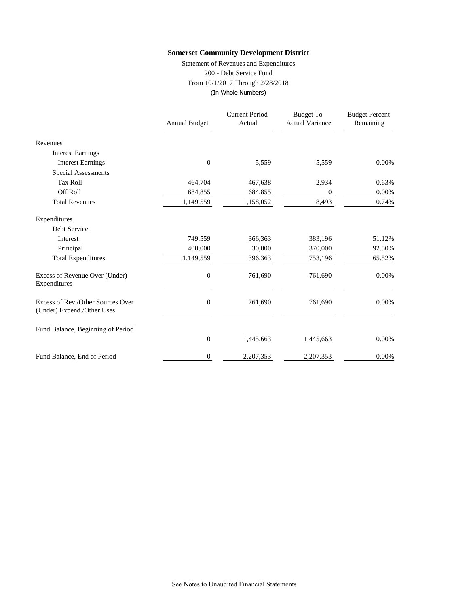Statement of Revenues and Expenditures 200 - Debt Service Fund From 10/1/2017 Through 2/28/2018 (In Whole Numbers)

|                                                                 | <b>Annual Budget</b> | <b>Current Period</b><br>Actual | <b>Budget To</b><br><b>Actual Variance</b> | <b>Budget Percent</b><br>Remaining |
|-----------------------------------------------------------------|----------------------|---------------------------------|--------------------------------------------|------------------------------------|
| Revenues                                                        |                      |                                 |                                            |                                    |
| <b>Interest Earnings</b>                                        |                      |                                 |                                            |                                    |
| <b>Interest Earnings</b>                                        | $\overline{0}$       | 5,559                           | 5,559                                      | 0.00%                              |
| Special Assessments                                             |                      |                                 |                                            |                                    |
| <b>Tax Roll</b>                                                 | 464,704              | 467,638                         | 2,934                                      | 0.63%                              |
| Off Roll                                                        | 684,855              | 684,855                         | 0                                          | 0.00%                              |
| <b>Total Revenues</b>                                           | 1,149,559            | 1,158,052                       | 8,493                                      | 0.74%                              |
| Expenditures                                                    |                      |                                 |                                            |                                    |
| Debt Service                                                    |                      |                                 |                                            |                                    |
| Interest                                                        | 749,559              | 366,363                         | 383,196                                    | 51.12%                             |
| Principal                                                       | 400,000              | 30,000                          | 370,000                                    | 92.50%                             |
| <b>Total Expenditures</b>                                       | 1,149,559            | 396,363                         | 753,196                                    | 65.52%                             |
| Excess of Revenue Over (Under)<br>Expenditures                  | $\boldsymbol{0}$     | 761,690                         | 761,690                                    | 0.00%                              |
| Excess of Rev./Other Sources Over<br>(Under) Expend./Other Uses | $\boldsymbol{0}$     | 761,690                         | 761,690                                    | 0.00%                              |
| Fund Balance, Beginning of Period                               |                      |                                 |                                            |                                    |
|                                                                 | $\boldsymbol{0}$     | 1,445,663                       | 1,445,663                                  | 0.00%                              |
| Fund Balance, End of Period                                     | 0                    | 2,207,353                       | 2,207,353                                  | 0.00%                              |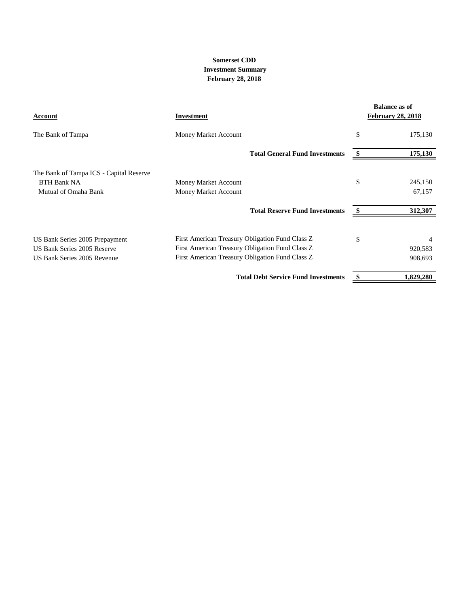#### **February 28, 2018 Somerset CDD Investment Summary**

| <b>Account</b>                          | Investment                                      | <b>Balance as of</b><br><b>February 28, 2018</b> |
|-----------------------------------------|-------------------------------------------------|--------------------------------------------------|
| The Bank of Tampa                       | Money Market Account                            | \$<br>175,130                                    |
|                                         | <b>Total General Fund Investments</b>           | 175,130                                          |
| The Bank of Tampa ICS - Capital Reserve |                                                 |                                                  |
| <b>BTH Bank NA</b>                      | Money Market Account                            | \$<br>245,150                                    |
| Mutual of Omaha Bank                    | Money Market Account                            | 67,157                                           |
|                                         | <b>Total Reserve Fund Investments</b>           | 312,307                                          |
| US Bank Series 2005 Prepayment          | First American Treasury Obligation Fund Class Z | \$                                               |
| US Bank Series 2005 Reserve             | First American Treasury Obligation Fund Class Z | 920,583                                          |
| US Bank Series 2005 Revenue             | First American Treasury Obligation Fund Class Z | 908,693                                          |
|                                         | <b>Total Debt Service Fund Investments</b>      | 1,829,280                                        |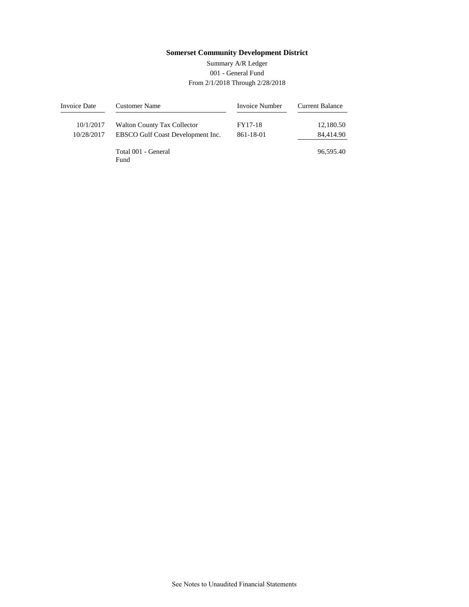#### 001 - General Fund From 2/1/2018 Through 2/28/2018 Summary A/R Ledger

| Invoice Date | <b>Customer Name</b>               | Invoice Number | <b>Current Balance</b> |
|--------------|------------------------------------|----------------|------------------------|
| 10/1/2017    | <b>Walton County Tax Collector</b> | FY17-18        | 12,180.50              |
| 10/28/2017   | EBSCO Gulf Coast Development Inc.  | 861-18-01      | 84,414.90              |
|              | Total 001 - General<br>Fund        |                | 96.595.40              |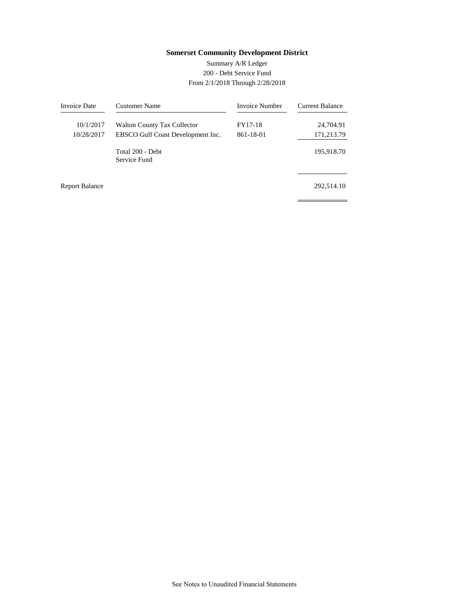#### 200 - Debt Service Fund From 2/1/2018 Through 2/28/2018 Summary A/R Ledger

| <b>Invoice Date</b>   | Customer Name                      | <b>Invoice Number</b> | Current Balance |
|-----------------------|------------------------------------|-----------------------|-----------------|
| 10/1/2017             | <b>Walton County Tax Collector</b> | FY17-18               | 24,704.91       |
| 10/28/2017            | EBSCO Gulf Coast Development Inc.  | 861-18-01             | 171,213.79      |
|                       | Total 200 - Debt<br>Service Fund   |                       | 195,918.70      |
| <b>Report Balance</b> |                                    |                       | 292,514.10      |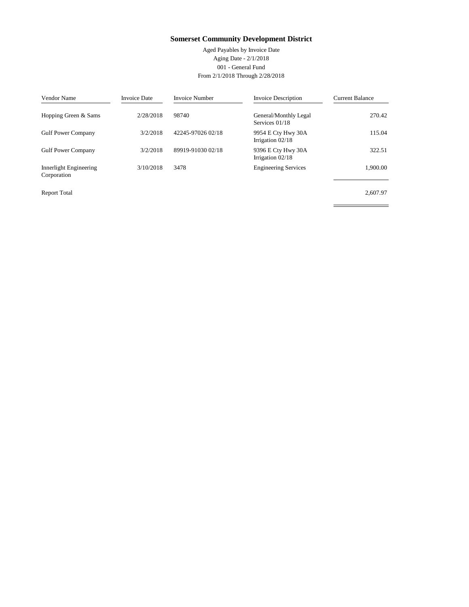Aged Payables by Invoice Date Aging Date - 2/1/2018 001 - General Fund From 2/1/2018 Through 2/28/2018

 $\overline{a}$ 

| Vendor Name                           | <b>Invoice Date</b> | <b>Invoice Number</b> | <b>Invoice Description</b>               | <b>Current Balance</b> |
|---------------------------------------|---------------------|-----------------------|------------------------------------------|------------------------|
| Hopping Green & Sams                  | 2/28/2018           | 98740                 | General/Monthly Legal<br>Services 01/18  | 270.42                 |
| <b>Gulf Power Company</b>             | 3/2/2018            | 42245-97026 02/18     | 9954 E Cty Hwy 30A<br>Irrigation $02/18$ | 115.04                 |
| <b>Gulf Power Company</b>             | 3/2/2018            | 89919-91030 02/18     | 9396 E Cty Hwy 30A<br>Irrigation $02/18$ | 322.51                 |
| Innerlight Engineering<br>Corporation | 3/10/2018           | 3478                  | <b>Engineering Services</b>              | 1.900.00               |
| <b>Report Total</b>                   |                     |                       |                                          | 2.607.97               |